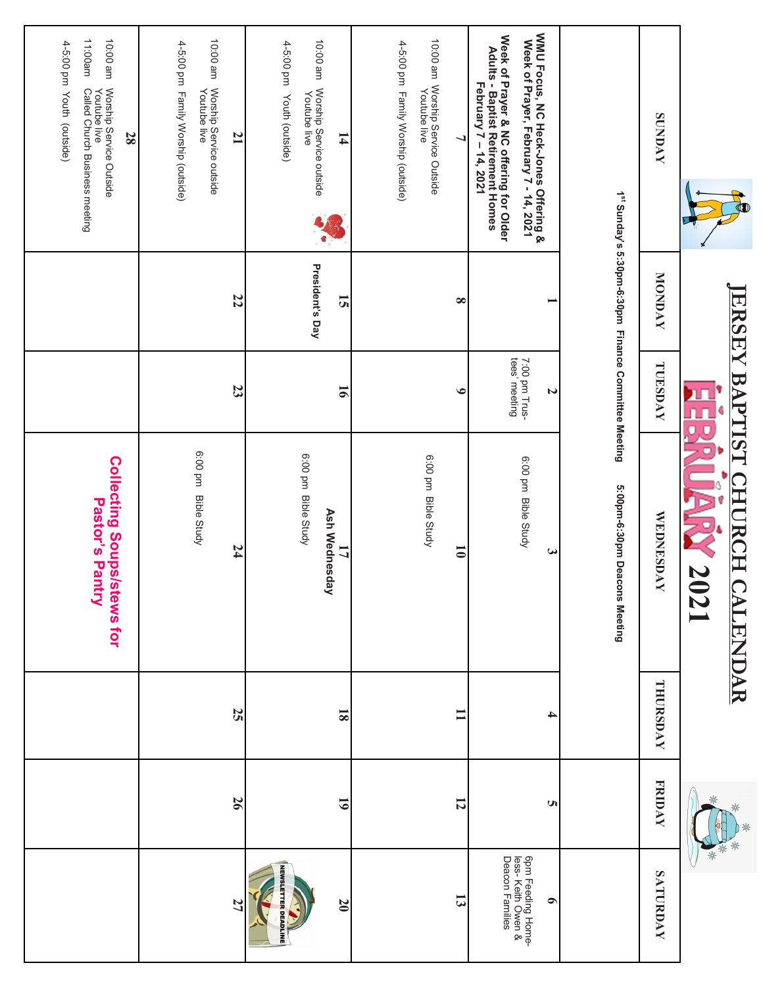| <b>SUNDAY</b>                                                                                                                       | <b>NONDAY</b><br><b>ERSE</b>                                     | TUESDAY<br>BAPTIST             | <b>WEDNESDAY</b><br>$\Xi$<br>CH<br>2021<br><b>CALENDAR</b> | THURSDAY                | <b>FRIDAY</b>   | *<br>SATURDAY                                              |
|-------------------------------------------------------------------------------------------------------------------------------------|------------------------------------------------------------------|--------------------------------|------------------------------------------------------------|-------------------------|-----------------|------------------------------------------------------------|
|                                                                                                                                     | 1 <sup>st</sup> Sunday's 5:30pm-6:30pm Finance Committee Meeting |                                | 5:00pm-6:30pm Deacons Meeting                              |                         |                 |                                                            |
| WMU Focus, NC Heck-Jones Offering &<br>Week of Prayer, February 7 - 14, 2021                                                        |                                                                  | N                              | $\boldsymbol{\omega}$                                      | 4                       | S               | $\bullet$                                                  |
| Week of Prayer & NC offering for Older<br>Adults - Baptist Retirement Homes<br>February 7 – 14, 2021                                |                                                                  | 7:00 pm Trus-<br>tees' meeting | 6:00 pm Bible Study                                        |                         |                 | 6pm Feeding Home-<br>Iess- Keith Owen &<br>Deacon Families |
| ┙                                                                                                                                   | $\infty$                                                         | $\bullet$                      | $\overline{\phantom{0}}$                                   | $\mathbf{I}$            | $\overline{5}$  | $\overline{3}$                                             |
| 10:00 am  Worship Service Outside<br>Youtube live                                                                                   |                                                                  |                                | 6:00 pm Bible Study                                        |                         |                 |                                                            |
| 4-5:00 pm Family Worship (outside)                                                                                                  |                                                                  |                                |                                                            |                         |                 |                                                            |
| $\mathbf{1}$                                                                                                                        | 51                                                               | $\overline{16}$                | <b>Ash Wednesday</b><br>17                                 | $\overline{\mathbf{8}}$ | $\overline{61}$ | $\overline{0}$                                             |
| 10:00 am Worship Service outside<br>Youtube live<br>4-5:00 pm<br>Youth (outside)                                                    | President's Day                                                  |                                | 6:00 pm Bible Study                                        |                         |                 | <b>NEWSLETTER DEADLINE</b>                                 |
| uue 00:01<br>Worship Service outside<br>Youtube live<br>$\overline{1}$                                                              | 22                                                               | 23                             | 74                                                         | 25                      | 97              | 27                                                         |
| 4-5:00 pm Family Worship (outside)                                                                                                  |                                                                  |                                | 6:00 pm Bible Study                                        |                         |                 |                                                            |
| 11:00am<br>10:00 am<br>4-5:00 pm Youth (outside)<br>Worship Service Outside<br>Youtube live<br>Called Church Business meeting<br>28 |                                                                  |                                | <b>Collecting Soups/stews for</b><br>Pastor's Pantry       |                         |                 |                                                            |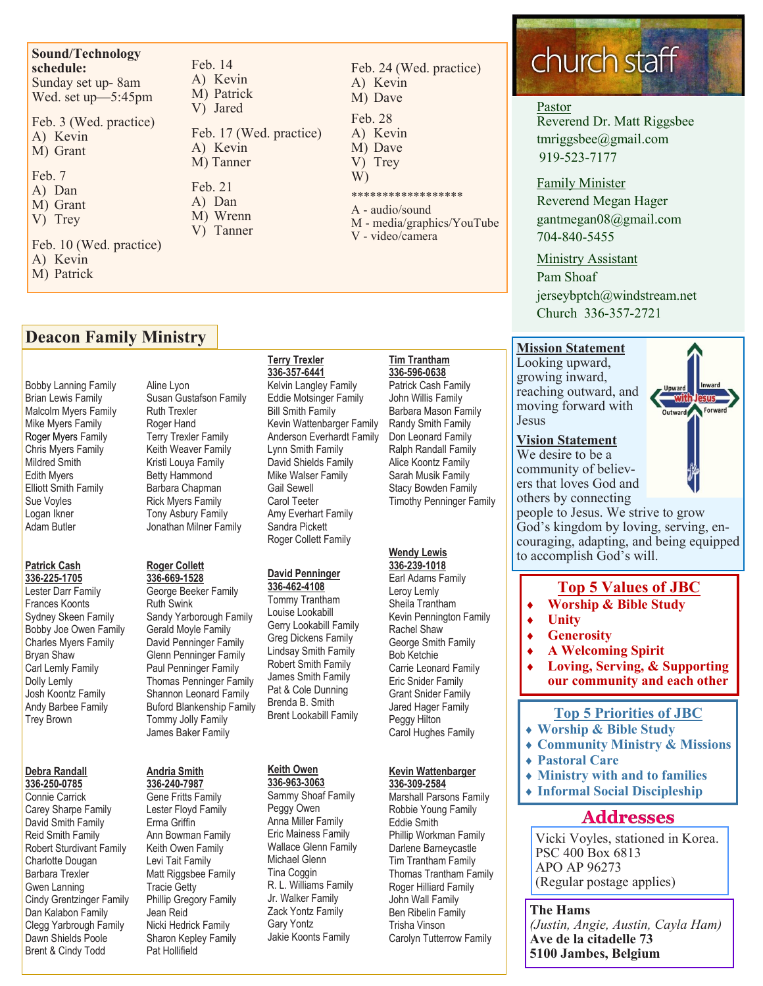#### **Sound/Technology schedule:**  Sunday set up- 8am Wed. set up—5:45pm

Feb. 3 (Wed. practice) A) Kevin M) Grant

- Feb. 7 A) Dan
- M) Grant V) Trey
- Feb. 10 (Wed. practice) A) Kevin M) Patrick

Feb. 14 A) Kevin M) Patrick V) Jared Feb. 17 (Wed. practice) A) Kevin M) Tanner

- Feb. 21 A) Dan M) Wrenn
- V) Tanner

Feb. 24 (Wed. practice) A) Kevin M) Dave Feb. 28 A) Kevin M) Dave

- V) Trey W)
- \*\*\*\*\*\*\*\*\*\*\*\*\*\*\*\*\*\*
- A audio/sound M - media/graphics/YouTube
- V video/camera

# **Deacon Family Ministry**

Bobby Lanning Family Brian Lewis Family Malcolm Myers Family Mike Myers Family Roger Myers Family Chris Myers Family Mildred Smith Edith Myers Elliott Smith Family Sue Voyles Logan Ikner Adam Butler

#### **Patrick Cash 336-225-1705**

Lester Darr Family Frances Koonts Sydney Skeen Family Bobby Joe Owen Family Charles Myers Family Bryan Shaw Carl Lemly Family Dolly Lemly Josh Koontz Family Andy Barbee Family Trey Brown

#### **Debra Randall 336-250-0785**

Connie Carrick Carey Sharpe Family David Smith Family Reid Smith Family Robert Sturdivant Family Charlotte Dougan Barbara Trexler Gwen Lanning Cindy Grentzinger Family Dan Kalabon Family Clegg Yarbrough Family Dawn Shields Poole Brent & Cindy Todd

Aline Lyon Susan Gustafson Family Ruth Trexler Roger Hand Terry Trexler Family Keith Weaver Family Kristi Louya Family Betty Hammond Barbara Chapman Rick Myers Family Tony Asbury Family Jonathan Milner Family

#### **Roger Collett 336-669-1528**

George Beeker Family Ruth Swink Sandy Yarborough Family Gerald Moyle Family David Penninger Family Glenn Penninger Family Paul Penninger Family Thomas Penninger Family Shannon Leonard Family Buford Blankenship Family Tommy Jolly Family James Baker Family

#### **Andria Smith 336-240-7987**

Gene Fritts Family Lester Floyd Family Erma Griffin Ann Bowman Family Keith Owen Family Levi Tait Family Matt Riggsbee Family Tracie Getty Phillip Gregory Family Jean Reid Nicki Hedrick Family Sharon Kepley Family Pat Hollifield

#### **Terry Trexler 336-357-6441**

Kelvin Langley Family Eddie Motsinger Family Bill Smith Family Kevin Wattenbarger Family Anderson Everhardt Family Lynn Smith Family David Shields Family Mike Walser Family Gail Sewell Carol Teeter Amy Everhart Family Sandra Pickett Roger Collett Family

# **David Penninger**

**336-462-4108** Tommy Trantham Louise Lookabill Gerry Lookabill Family Greg Dickens Family Lindsay Smith Family Robert Smith Family James Smith Family Pat & Cole Dunning Brenda B. Smith Brent Lookabill Family

# **Keith Owen**

**336-963-3063** Sammy Shoaf Family Peggy Owen Anna Miller Family Eric Mainess Family Wallace Glenn Family Michael Glenn Tina Coggin R. L. Williams Family Jr. Walker Family Zack Yontz Family Gary Yontz Jakie Koonts Family

#### **Tim Trantham 336-596-0638** Patrick Cash Family

John Willis Family Barbara Mason Family Randy Smith Family Don Leonard Family Ralph Randall Family Alice Koontz Family Sarah Musik Family Stacy Bowden Family Timothy Penninger Family

# **Wendy Lewis**

**336-239-1018** Earl Adams Family Leroy Lemly Sheila Trantham Kevin Pennington Family Rachel Shaw George Smith Family Bob Ketchie Carrie Leonard Family Eric Snider Family Grant Snider Family Jared Hager Family Peggy Hilton Carol Hughes Family

#### **Kevin Wattenbarger 336-309-2584**

Marshall Parsons Family Robbie Young Family Eddie Smith Phillip Workman Family Darlene Barneycastle Tim Trantham Family Thomas Trantham Family Roger Hilliard Family John Wall Family Ben Ribelin Family Trisha Vinson Carolyn Tutterrow Family

# church staff

# Pastor

Reverend Dr. Matt Riggsbee tmriggsbee@gmail.com 919-523-7177

### Family Minister

Reverend Megan Hager gantmegan08@gmail.com 704-840-5455

### Ministry Assistant

Pam Shoaf jerseybptch@windstream.net Church 336-357-2721

# **Mission Statement**

Looking upward, growing inward, reaching outward, and moving forward with Jesus

#### **Vision Statement**

We desire to be a community of believers that loves God and others by connecting



#### people to Jesus. We strive to grow God's kingdom by loving, serving, encouraging, adapting, and being equipped to accomplish God's will.

# **Top 5 Values of JBC**

- **Worship & Bible Study**
- **Unity**
- **Generosity**
- **A Welcoming Spirit**
- **Loving, Serving, & Supporting our community and each other**

# **Top 5 Priorities of JBC**

- **Worship & Bible Study**
- **Community Ministry & Missions**
- **Pastoral Care**
- **Ministry with and to families**
- **Informal Social Discipleship**

# **Addresses**

Vicki Voyles, stationed in Korea. PSC 400 Box 6813 APO AP 96273 (Regular postage applies)

**The Hams** *(Justin, Angie, Austin, Cayla Ham)* **Ave de la citadelle 73 5100 Jambes, Belgium**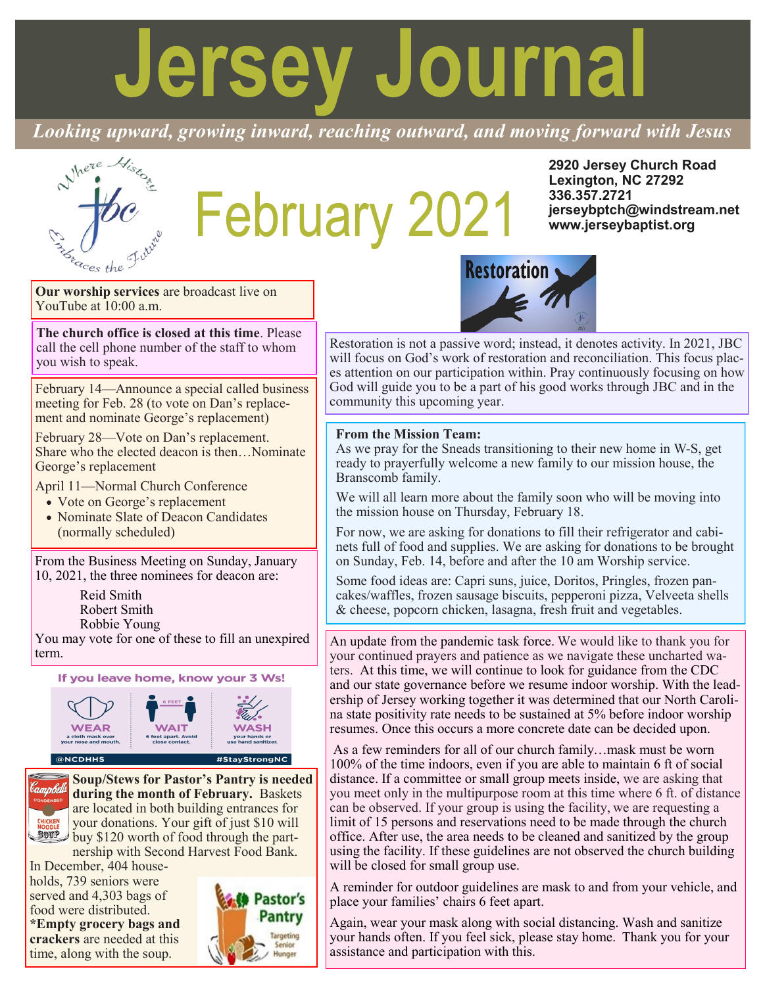# **Jersey Journal**

*Looking upward, growing inward, reaching outward, and moving forward with Jesus*

# February 2021

**2920 Jersey Church Road Lexington, NC 27292 336.357.2721 jerseybptch@windstream.net www.jerseybaptist.org**

**Our worship services** are broadcast live on YouTube at 10:00 a.m.

**The church office is closed at this time**. Please call the cell phone number of the staff to whom you wish to speak.

February 14—Announce a special called business meeting for Feb. 28 (to vote on Dan's replacement and nominate George's replacement)

February 28—Vote on Dan's replacement. Share who the elected deacon is then…Nominate George's replacement

April 11—Normal Church Conference

- Vote on George's replacement
- Nominate Slate of Deacon Candidates (normally scheduled)

From the Business Meeting on Sunday, January 10, 2021, the three nominees for deacon are:

> Reid Smith Robert Smith Robbie Young

You may vote for one of these to fill an unexpired term.



#### $\circledast$ NCDHHS

**CHICKEN**<br>NOODLE

**Soup/Stews for Pastor's Pantry is needed during the month of February.** Baskets are located in both building entrances for your donations. Your gift of just \$10 will **BUTP** buy \$120 worth of food through the partnership with Second Harvest Food Bank.

In December, 404 households, 739 seniors were served and 4,303 bags of food were distributed. **\*Empty grocery bags and crackers** are needed at this time, along with the soup.





Restoration is not a passive word; instead, it denotes activity. In 2021, JBC will focus on God's work of restoration and reconciliation. This focus places attention on our participation within. Pray continuously focusing on how God will guide you to be a part of his good works through JBC and in the community this upcoming year.

#### **From the Mission Team:**

As we pray for the Sneads transitioning to their new home in W-S, get ready to prayerfully welcome a new family to our mission house, the Branscomb family.

We will all learn more about the family soon who will be moving into the mission house on Thursday, February 18.

For now, we are asking for donations to fill their refrigerator and cabinets full of food and supplies. We are asking for donations to be brought on Sunday, Feb. 14, before and after the 10 am Worship service.

Some food ideas are: Capri suns, juice, Doritos, Pringles, frozen pancakes/waffles, frozen sausage biscuits, pepperoni pizza, Velveeta shells & cheese, popcorn chicken, lasagna, fresh fruit and vegetables.

An update from the pandemic task force. We would like to thank you for your continued prayers and patience as we navigate these uncharted waters. At this time, we will continue to look for guidance from the CDC and our state governance before we resume indoor worship. With the leadership of Jersey working together it was determined that our North Carolina state positivity rate needs to be sustained at 5% before indoor worship resumes. Once this occurs a more concrete date can be decided upon.

As a few reminders for all of our church family…mask must be worn 100% of the time indoors, even if you are able to maintain 6 ft of social distance. If a committee or small group meets inside, we are asking that you meet only in the multipurpose room at this time where 6 ft. of distance can be observed. If your group is using the facility, we are requesting a limit of 15 persons and reservations need to be made through the church office. After use, the area needs to be cleaned and sanitized by the group using the facility. If these guidelines are not observed the church building will be closed for small group use.

A reminder for outdoor guidelines are mask to and from your vehicle, and place your families' chairs 6 feet apart.

Again, wear your mask along with social distancing. Wash and sanitize your hands often. If you feel sick, please stay home. Thank you for your assistance and participation with this.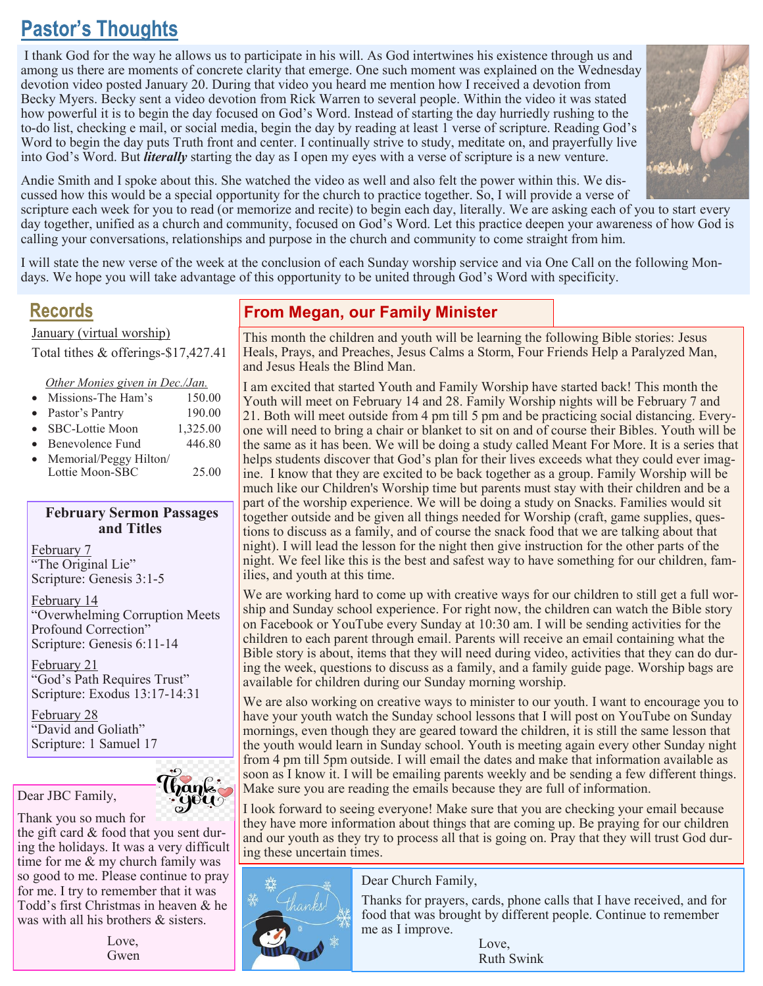# **Pastor's Thoughts**

I thank God for the way he allows us to participate in his will. As God intertwines his existence through us and among us there are moments of concrete clarity that emerge. One such moment was explained on the Wednesday devotion video posted January 20. During that video you heard me mention how I received a devotion from Becky Myers. Becky sent a video devotion from Rick Warren to several people. Within the video it was stated how powerful it is to begin the day focused on God's Word. Instead of starting the day hurriedly rushing to the to-do list, checking e mail, or social media, begin the day by reading at least 1 verse of scripture. Reading God's Word to begin the day puts Truth front and center. I continually strive to study, meditate on, and prayerfully live into God's Word. But *literally* starting the day as I open my eyes with a verse of scripture is a new venture.



Andie Smith and I spoke about this. She watched the video as well and also felt the power within this. We discussed how this would be a special opportunity for the church to practice together. So, I will provide a verse of

scripture each week for you to read (or memorize and recite) to begin each day, literally. We are asking each of you to start every day together, unified as a church and community, focused on God's Word. Let this practice deepen your awareness of how God is calling your conversations, relationships and purpose in the church and community to come straight from him.

I will state the new verse of the week at the conclusion of each Sunday worship service and via One Call on the following Mondays. We hope you will take advantage of this opportunity to be united through God's Word with specificity.

# **Records**

January (virtual worship)

Total tithes & offerings-\$17,427.41

*Other Monies given in Dec./Jan.* 

- Missions-The Ham's 150.00
- Pastor's Pantry 190.00
- SBC-Lottie Moon 1,325.00
- Benevolence Fund 446.80
- Memorial/Peggy Hilton/ Lottie Moon-SBC 25.00

#### **February Sermon Passages and Titles**

February 7 "The Original Lie" Scripture: Genesis 3:1-5

February 14 "Overwhelming Corruption Meets Profound Correction" Scripture: Genesis 6:11-14

February 21 "God's Path Requires Trust" Scripture: Exodus 13:17-14:31

February 28 "David and Goliath"

Scripture: 1 Samuel 17



Dear JBC Family,

Thank you so much for

the gift card & food that you sent during the holidays. It was a very difficult time for me & my church family was so good to me. Please continue to pray for me. I try to remember that it was Todd's first Christmas in heaven & he was with all his brothers & sisters.

> Love, Gwen

# **From Megan, our Family Minister**

This month the children and youth will be learning the following Bible stories: Jesus Heals, Prays, and Preaches, Jesus Calms a Storm, Four Friends Help a Paralyzed Man, and Jesus Heals the Blind Man.

I am excited that started Youth and Family Worship have started back! This month the Youth will meet on February 14 and 28. Family Worship nights will be February 7 and 21. Both will meet outside from 4 pm till 5 pm and be practicing social distancing. Everyone will need to bring a chair or blanket to sit on and of course their Bibles. Youth will be the same as it has been. We will be doing a study called Meant For More. It is a series that helps students discover that God's plan for their lives exceeds what they could ever imagine. I know that they are excited to be back together as a group. Family Worship will be much like our Children's Worship time but parents must stay with their children and be a part of the worship experience. We will be doing a study on Snacks. Families would sit together outside and be given all things needed for Worship (craft, game supplies, questions to discuss as a family, and of course the snack food that we are talking about that night). I will lead the lesson for the night then give instruction for the other parts of the night. We feel like this is the best and safest way to have something for our children, families, and youth at this time.

We are working hard to come up with creative ways for our children to still get a full worship and Sunday school experience. For right now, the children can watch the Bible story on Facebook or YouTube every Sunday at 10:30 am. I will be sending activities for the children to each parent through email. Parents will receive an email containing what the Bible story is about, items that they will need during video, activities that they can do during the week, questions to discuss as a family, and a family guide page. Worship bags are available for children during our Sunday morning worship.

We are also working on creative ways to minister to our youth. I want to encourage you to have your youth watch the Sunday school lessons that I will post on YouTube on Sunday mornings, even though they are geared toward the children, it is still the same lesson that the youth would learn in Sunday school. Youth is meeting again every other Sunday night from 4 pm till 5pm outside. I will email the dates and make that information available as soon as I know it. I will be emailing parents weekly and be sending a few different things. Make sure you are reading the emails because they are full of information.

I look forward to seeing everyone! Make sure that you are checking your email because they have more information about things that are coming up. Be praying for our children and our youth as they try to process all that is going on. Pray that they will trust God during these uncertain times.



Dear Church Family,

Thanks for prayers, cards, phone calls that I have received, and for food that was brought by different people. Continue to remember me as I improve.

> Love, Ruth Swink